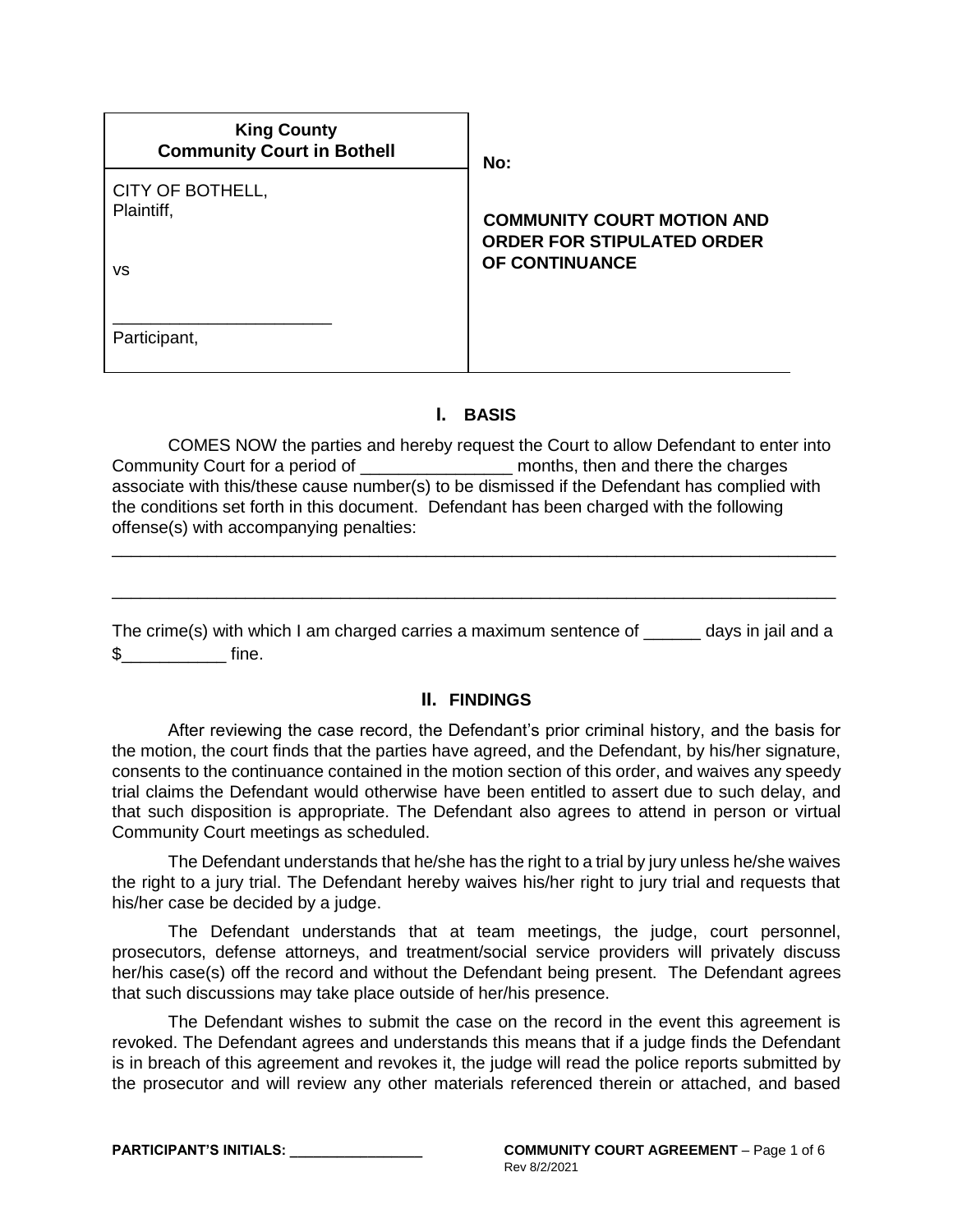| <b>King County</b><br><b>Community Court in Bothell</b> | No:                                                                                      |
|---------------------------------------------------------|------------------------------------------------------------------------------------------|
| CITY OF BOTHELL,<br>Plaintiff,<br>VS                    | <b>COMMUNITY COURT MOTION AND</b><br><b>ORDER FOR STIPULATED ORDER</b><br>OF CONTINUANCE |
| Participant,                                            |                                                                                          |

### **I. BASIS**

COMES NOW the parties and hereby request the Court to allow Defendant to enter into Community Court for a period of \_\_\_\_\_\_\_\_\_\_\_\_\_\_\_\_ months, then and there the charges associate with this/these cause number(s) to be dismissed if the Defendant has complied with the conditions set forth in this document. Defendant has been charged with the following offense(s) with accompanying penalties:

\_\_\_\_\_\_\_\_\_\_\_\_\_\_\_\_\_\_\_\_\_\_\_\_\_\_\_\_\_\_\_\_\_\_\_\_\_\_\_\_\_\_\_\_\_\_\_\_\_\_\_\_\_\_\_\_\_\_\_\_\_\_\_\_\_\_\_\_\_\_\_\_\_\_\_\_

\_\_\_\_\_\_\_\_\_\_\_\_\_\_\_\_\_\_\_\_\_\_\_\_\_\_\_\_\_\_\_\_\_\_\_\_\_\_\_\_\_\_\_\_\_\_\_\_\_\_\_\_\_\_\_\_\_\_\_\_\_\_\_\_\_\_\_\_\_\_\_\_\_\_\_\_

The crime(s) with which I am charged carries a maximum sentence of \_\_\_\_\_\_ days in jail and a  $\text{\$}$  fine.

### **II. FINDINGS**

After reviewing the case record, the Defendant's prior criminal history, and the basis for the motion, the court finds that the parties have agreed, and the Defendant, by his/her signature, consents to the continuance contained in the motion section of this order, and waives any speedy trial claims the Defendant would otherwise have been entitled to assert due to such delay, and that such disposition is appropriate. The Defendant also agrees to attend in person or virtual Community Court meetings as scheduled.

The Defendant understands that he/she has the right to a trial by jury unless he/she waives the right to a jury trial. The Defendant hereby waives his/her right to jury trial and requests that his/her case be decided by a judge.

The Defendant understands that at team meetings, the judge, court personnel, prosecutors, defense attorneys, and treatment/social service providers will privately discuss her/his case(s) off the record and without the Defendant being present. The Defendant agrees that such discussions may take place outside of her/his presence.

The Defendant wishes to submit the case on the record in the event this agreement is revoked. The Defendant agrees and understands this means that if a judge finds the Defendant is in breach of this agreement and revokes it, the judge will read the police reports submitted by the prosecutor and will review any other materials referenced therein or attached, and based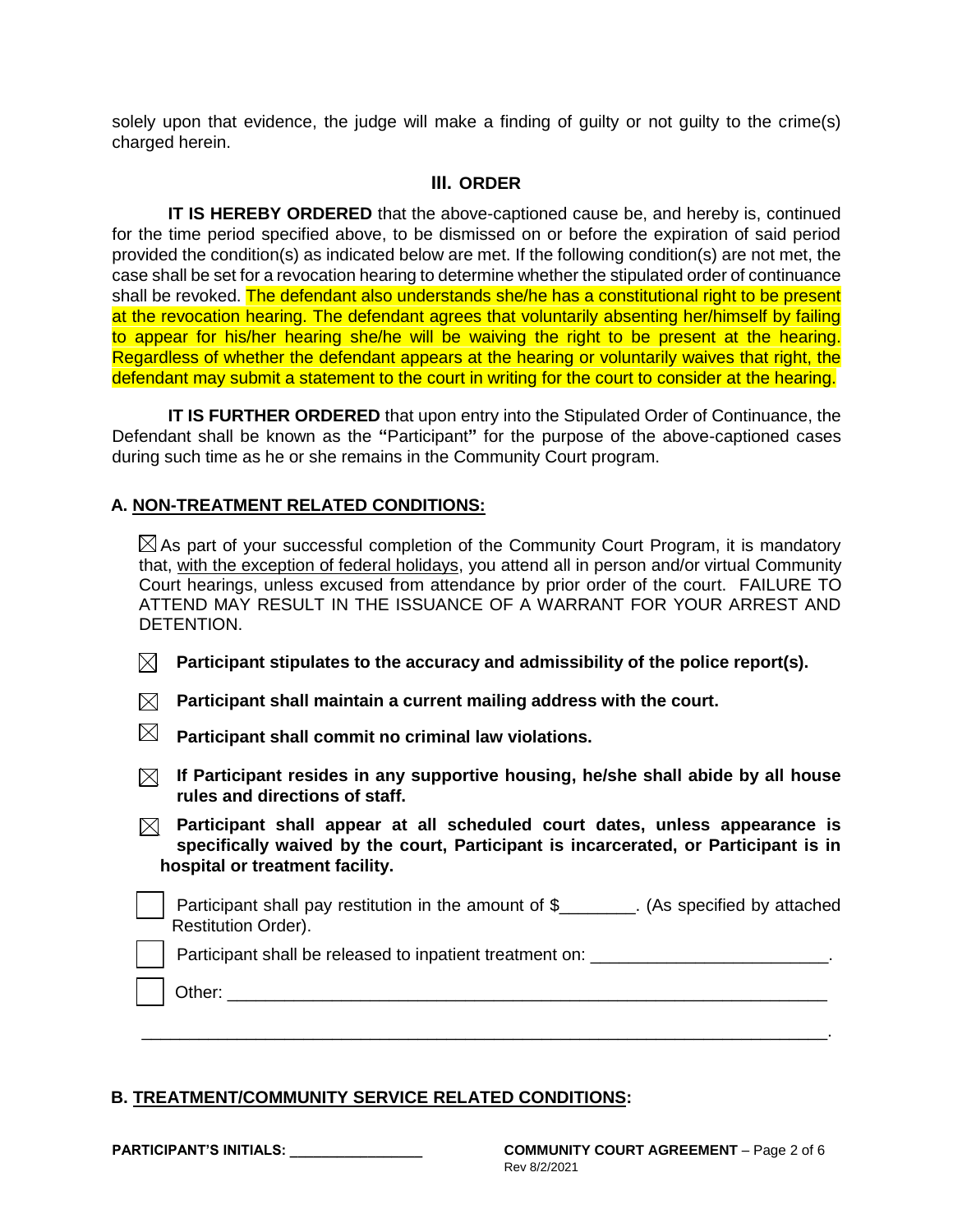solely upon that evidence, the judge will make a finding of guilty or not guilty to the crime(s) charged herein.

## **III. ORDER**

**IT IS HEREBY ORDERED** that the above-captioned cause be, and hereby is, continued for the time period specified above, to be dismissed on or before the expiration of said period provided the condition(s) as indicated below are met. If the following condition(s) are not met, the case shall be set for a revocation hearing to determine whether the stipulated order of continuance shall be revoked. The defendant also understands she/he has a constitutional right to be present at the revocation hearing. The defendant agrees that voluntarily absenting her/himself by failing to appear for his/her hearing she/he will be waiving the right to be present at the hearing. Regardless of whether the defendant appears at the hearing or voluntarily waives that right, the defendant may submit a statement to the court in writing for the court to consider at the hearing.

**IT IS FURTHER ORDERED** that upon entry into the Stipulated Order of Continuance, the Defendant shall be known as the **"**Participant**"** for the purpose of the above-captioned cases during such time as he or she remains in the Community Court program.

# **A. NON-TREATMENT RELATED CONDITIONS:**

 $\boxtimes$  As part of your successful completion of the Community Court Program, it is mandatory that, with the exception of federal holidays, you attend all in person and/or virtual Community Court hearings, unless excused from attendance by prior order of the court. FAILURE TO ATTEND MAY RESULT IN THE ISSUANCE OF A WARRANT FOR YOUR ARREST AND DETENTION.

- $\boxtimes^-$ **Participant stipulates to the accuracy and admissibility of the police report(s).**
- $\boxtimes$  Participant shall maintain a current mailing address with the court.
- $\boxtimes$  Participant shall commit no criminal law violations.
- **If Participant resides in any supportive housing, he/she shall abide by all house rules and directions of staff.**
- **Participant shall appear at all scheduled court dates, unless appearance is specifically waived by the court, Participant is incarcerated, or Participant is in hospital or treatment facility.**

Participant shall pay restitution in the amount of \$\_\_\_\_\_\_\_. (As specified by attached Restitution Order).

Participant shall be released to inpatient treatment on: \_\_\_\_\_\_\_\_\_\_\_\_\_\_\_\_\_\_\_\_\_\_\_\_

\_\_\_\_\_\_\_\_\_\_\_\_\_\_\_\_\_\_\_\_\_\_\_\_\_\_\_\_\_\_\_\_\_\_\_\_\_\_\_\_\_\_\_\_\_\_\_\_\_\_\_\_\_\_\_\_\_\_\_\_\_\_\_\_\_\_\_\_\_\_\_\_.

Other:

### **B. TREATMENT/COMMUNITY SERVICE RELATED CONDITIONS:**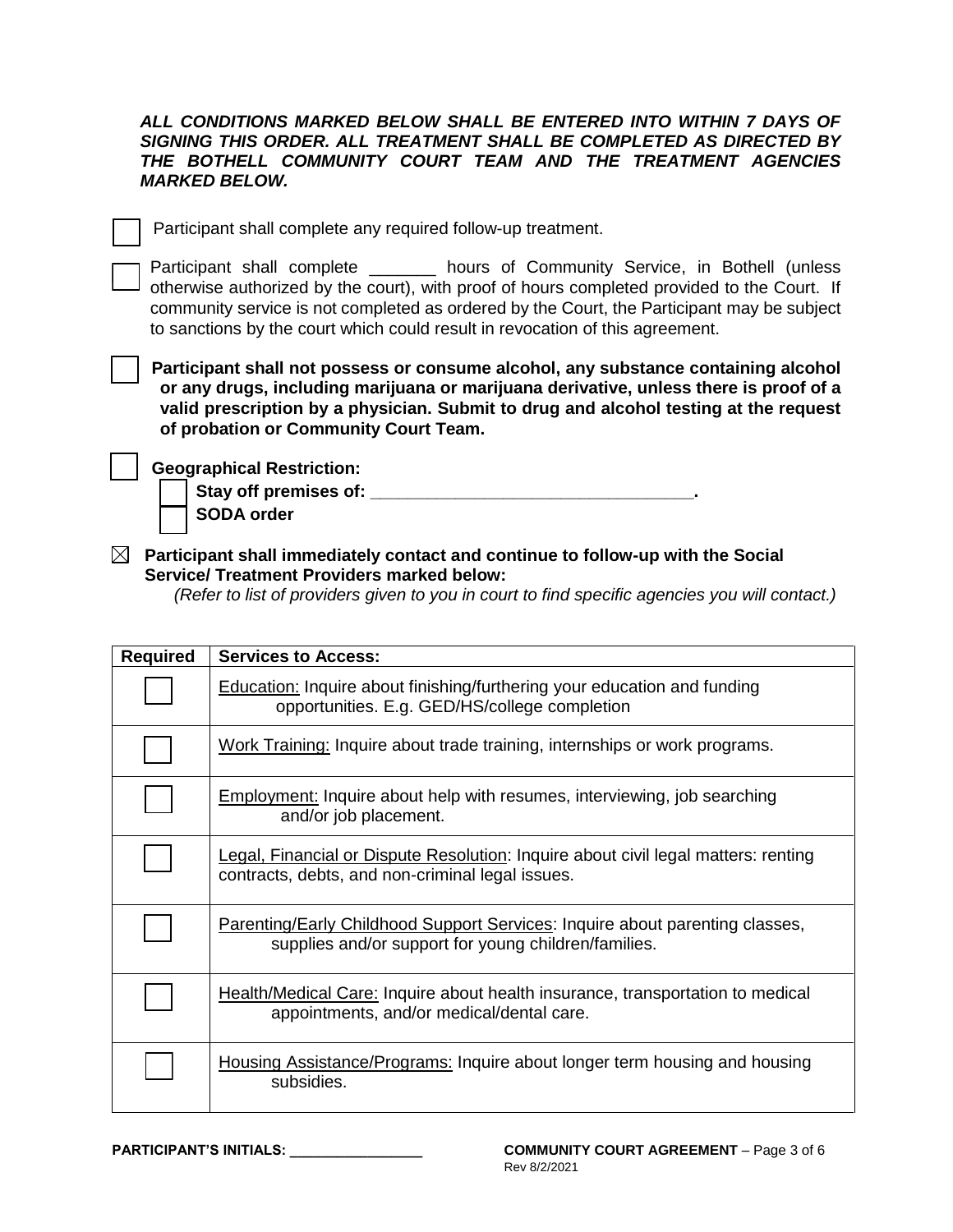#### *ALL CONDITIONS MARKED BELOW SHALL BE ENTERED INTO WITHIN 7 DAYS OF SIGNING THIS ORDER. ALL TREATMENT SHALL BE COMPLETED AS DIRECTED BY THE BOTHELL COMMUNITY COURT TEAM AND THE TREATMENT AGENCIES MARKED BELOW.*

Participant shall complete any required follow-up treatment.

Participant shall complete \_\_\_\_\_\_\_ hours of Community Service, in Bothell (unless otherwise authorized by the court), with proof of hours completed provided to the Court. If community service is not completed as ordered by the Court, the Participant may be subject to sanctions by the court which could result in revocation of this agreement.

**Participant shall not possess or consume alcohol, any substance containing alcohol or any drugs, including marijuana or marijuana derivative, unless there is proof of a valid prescription by a physician. Submit to drug and alcohol testing at the request of probation or Community Court Team.**

**Geographical Restriction:** 

Stay off premises of: **We are all that the state of and the state of and the state of and the state of and the state of and the state of and the state of and the state of and the state of and the state of and the state of SODA order**

**Participant shall immediately contact and continue to follow-up with the Social Service/ Treatment Providers marked below:** 

 *(Refer to list of providers given to you in court to find specific agencies you will contact.)*

| <b>Required</b> | <b>Services to Access:</b>                                                                                                             |
|-----------------|----------------------------------------------------------------------------------------------------------------------------------------|
|                 | <b>Education:</b> Inquire about finishing/furthering your education and funding<br>opportunities. E.g. GED/HS/college completion       |
|                 | Work Training: Inquire about trade training, internships or work programs.                                                             |
|                 | <b>Employment:</b> Inquire about help with resumes, interviewing, job searching<br>and/or job placement.                               |
|                 | Legal, Financial or Dispute Resolution: Inquire about civil legal matters: renting<br>contracts, debts, and non-criminal legal issues. |
|                 | Parenting/Early Childhood Support Services: Inquire about parenting classes,<br>supplies and/or support for young children/families.   |
|                 | Health/Medical Care: Inquire about health insurance, transportation to medical<br>appointments, and/or medical/dental care.            |
|                 | <b>Housing Assistance/Programs: Inquire about longer term housing and housing</b><br>subsidies.                                        |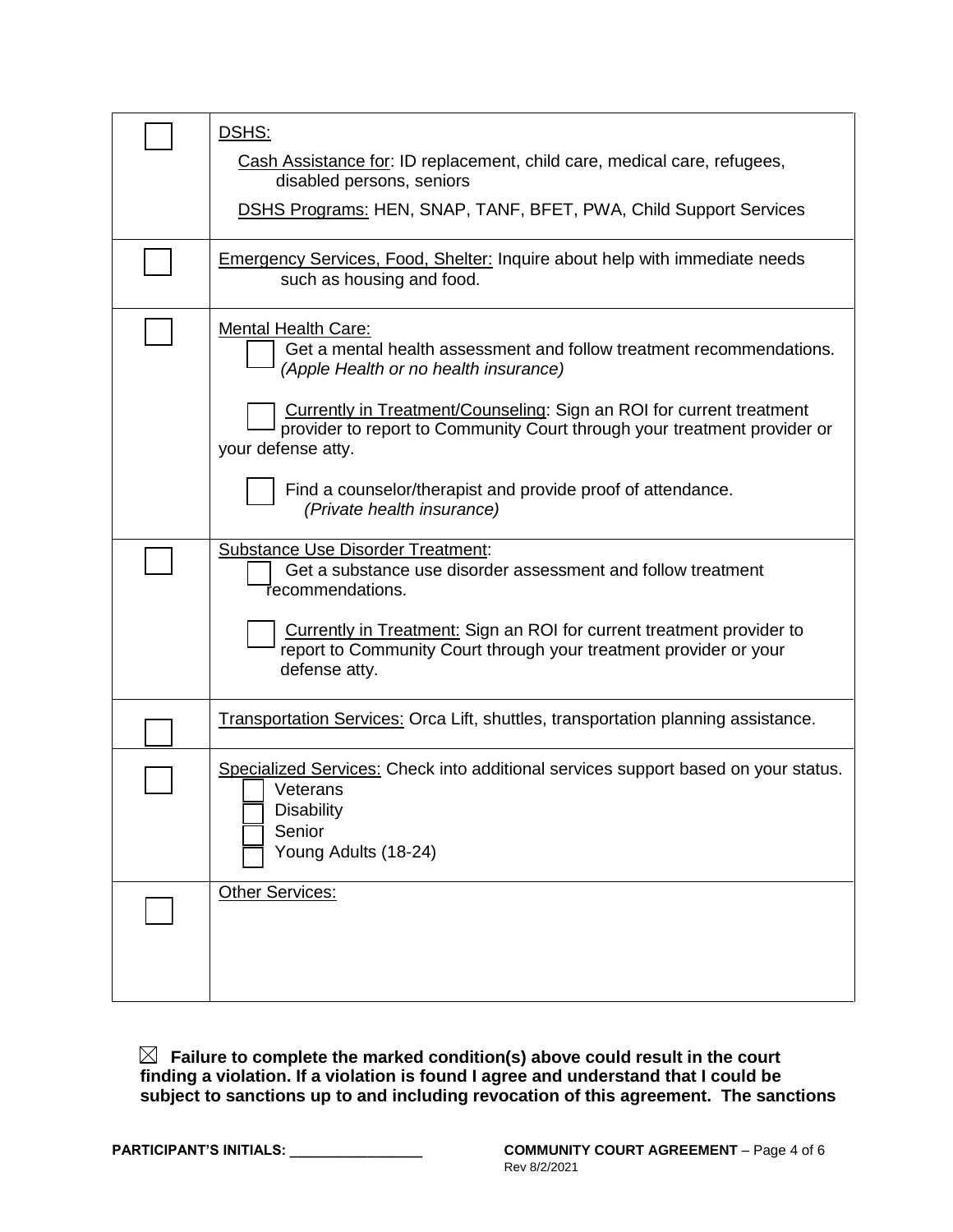| DSHS:                                                                                                                                                                                                                                                                                                                                                                                |
|--------------------------------------------------------------------------------------------------------------------------------------------------------------------------------------------------------------------------------------------------------------------------------------------------------------------------------------------------------------------------------------|
| Cash Assistance for: ID replacement, child care, medical care, refugees,<br>disabled persons, seniors                                                                                                                                                                                                                                                                                |
| <b>DSHS Programs: HEN, SNAP, TANF, BFET, PWA, Child Support Services</b>                                                                                                                                                                                                                                                                                                             |
| <b>Emergency Services, Food, Shelter: Inquire about help with immediate needs</b><br>such as housing and food.                                                                                                                                                                                                                                                                       |
| <b>Mental Health Care:</b><br>Get a mental health assessment and follow treatment recommendations.<br>(Apple Health or no health insurance)<br>Currently in Treatment/Counseling: Sign an ROI for current treatment<br>provider to report to Community Court through your treatment provider or<br>your defense atty.<br>Find a counselor/therapist and provide proof of attendance. |
| (Private health insurance)                                                                                                                                                                                                                                                                                                                                                           |
| <b>Substance Use Disorder Treatment:</b><br>Get a substance use disorder assessment and follow treatment<br>Tecommendations.<br>Currently in Treatment: Sign an ROI for current treatment provider to<br>report to Community Court through your treatment provider or your<br>defense atty.                                                                                          |
| <b>Transportation Services: Orca Lift, shuttles, transportation planning assistance.</b>                                                                                                                                                                                                                                                                                             |
| Specialized Services: Check into additional services support based on your status.<br>Veterans<br><b>Disability</b><br>Senior<br>Young Adults (18-24)                                                                                                                                                                                                                                |
| Other Services:                                                                                                                                                                                                                                                                                                                                                                      |

**Failure to complete the marked condition(s) above could result in the court finding a violation. If a violation is found I agree and understand that I could be subject to sanctions up to and including revocation of this agreement. The sanctions**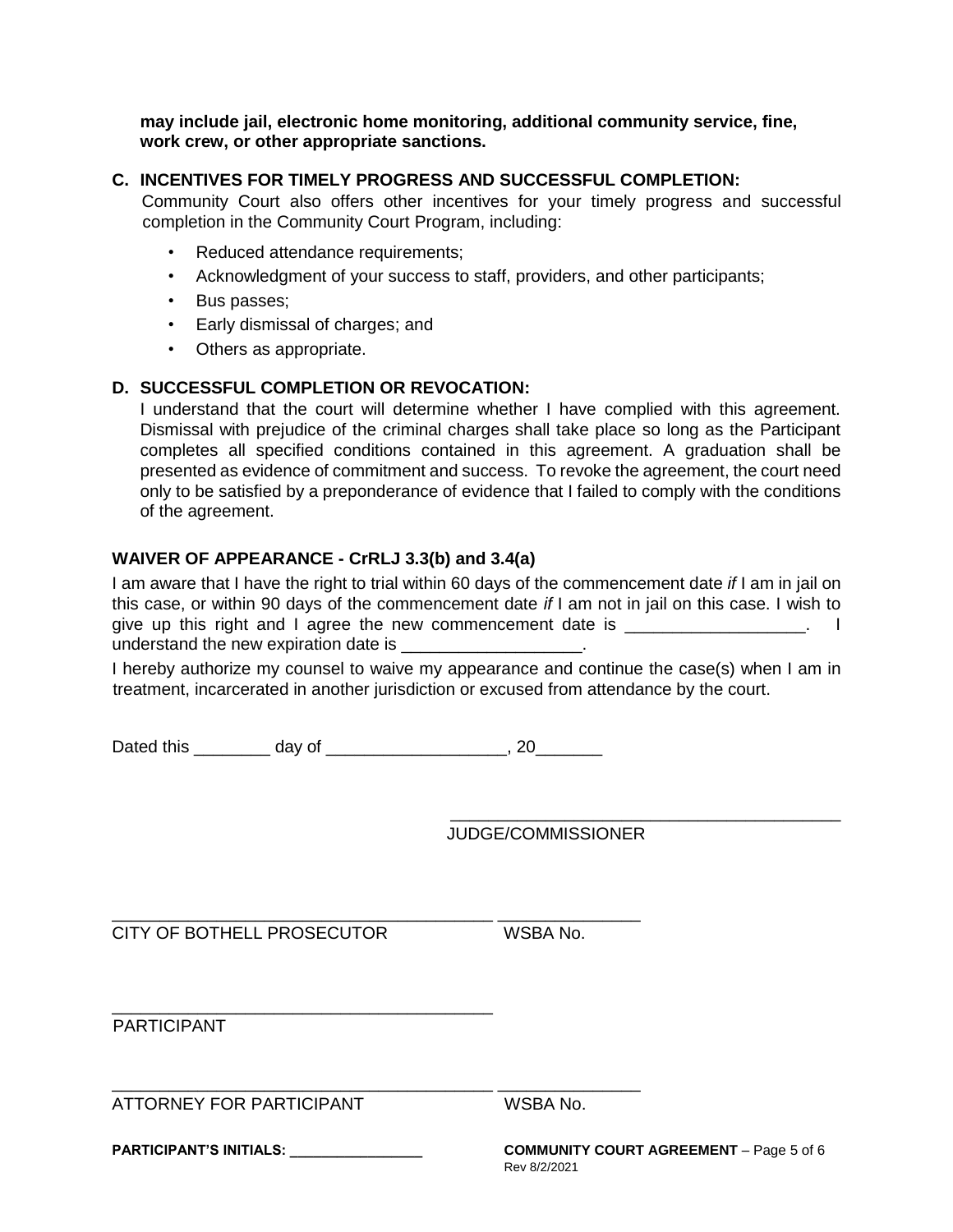**may include jail, electronic home monitoring, additional community service, fine, work crew, or other appropriate sanctions.** 

### **C. INCENTIVES FOR TIMELY PROGRESS AND SUCCESSFUL COMPLETION:**

Community Court also offers other incentives for your timely progress and successful completion in the Community Court Program, including:

- Reduced attendance requirements;
- Acknowledgment of your success to staff, providers, and other participants;
- Bus passes;
- Early dismissal of charges; and
- Others as appropriate.

### **D. SUCCESSFUL COMPLETION OR REVOCATION:**

I understand that the court will determine whether I have complied with this agreement. Dismissal with prejudice of the criminal charges shall take place so long as the Participant completes all specified conditions contained in this agreement. A graduation shall be presented as evidence of commitment and success. To revoke the agreement, the court need only to be satisfied by a preponderance of evidence that I failed to comply with the conditions of the agreement.

### **WAIVER OF APPEARANCE - CrRLJ 3.3(b) and 3.4(a)**

I am aware that I have the right to trial within 60 days of the commencement date *if* I am in jail on this case, or within 90 days of the commencement date *if* I am not in jail on this case. I wish to give up this right and I agree the new commencement date is \_\_\_\_\_\_\_\_\_\_\_\_\_\_\_\_\_\_\_. I understand the new expiration date is \_\_\_\_\_\_\_\_\_\_\_\_\_\_\_\_\_\_\_.

I hereby authorize my counsel to waive my appearance and continue the case(s) when I am in treatment, incarcerated in another jurisdiction or excused from attendance by the court.

Dated this day of the control of the control of the control of the control of the control of the control of the control of the control of the control of the control of the control of the control of the control of the contr

\_\_\_\_\_\_\_\_\_\_\_\_\_\_\_\_\_\_\_\_\_\_\_\_\_\_\_\_\_\_\_\_\_\_\_\_\_\_\_\_ \_\_\_\_\_\_\_\_\_\_\_\_\_\_\_

\_\_\_\_\_\_\_\_\_\_\_\_\_\_\_\_\_\_\_\_\_\_\_\_\_\_\_\_\_\_\_\_\_\_\_\_\_\_\_\_ \_\_\_\_\_\_\_\_\_\_\_\_\_\_\_

JUDGE/COMMISSIONER

CITY OF BOTHELL PROSECUTOR WSBA No.

\_\_\_\_\_\_\_\_\_\_\_\_\_\_\_\_\_\_\_\_\_\_\_\_\_\_\_\_\_\_\_\_\_\_\_\_\_\_\_\_

PARTICIPANT

ATTORNEY FOR PARTICIPANT WSBA No.

**PARTICIPANT'S INITIALS: \_\_\_\_\_\_\_\_\_\_\_\_\_\_\_\_\_ COMMUNITY COURT AGREEMENT** – Page 5 of 6 Rev 8/2/2021

\_\_\_\_\_\_\_\_\_\_\_\_\_\_\_\_\_\_\_\_\_\_\_\_\_\_\_\_\_\_\_\_\_\_\_\_\_\_\_\_\_